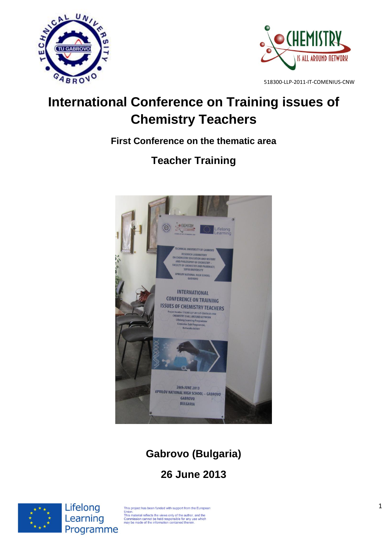



# **International Conference on Training issues of Chemistry Teachers**

**First Conference on the thematic area** 

# **Teacher Training**



# **Gabrovo (Bulgaria)**

# **26 June 2013**



Lifelong Learning Programme

This project has been funded with support from the European This material reflects the views only of the authority of the cooperation.<br>This material reflects the views only of the author, and the Commission cannot be held responsible for any use which may be made of the information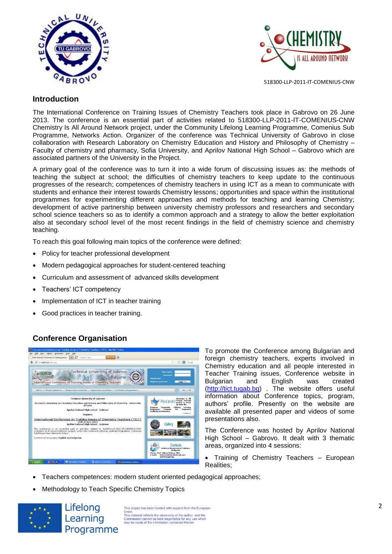



## **Introduction**

The International Conference on Training Issues of Chemistry Teachers took place in Gabrovo on 26 June 2013. The conference is an essential part of activities related to 518300-LLP-2011-IT-COMENIUS-CNW Chemistry Is All Around Network project, under the Community Lifelong Learning Programme, Comenius Sub Programme, Networks Action. Organizer of the conference was Technical University of Gabrovo in close collaboration with Research Laboratory on Chemistry Education and History and Philosophy of Chemistry – Faculty of chemistry and pharmacy, Sofia University, and Aprilov National High School – Gabrovo which are associated partners of the University in the Project.

A primary goal of the conference was to turn it into a wide forum of discussing issues as: the methods of teaching the subject at school; the difficulties of chemistry teachers to keep update to the continuous progresses of the research; competences of chemistry teachers in using ICT as a mean to communicate with students and enhance their interest towards Chemistry lessons; opportunities and space within the institutional programmes for experimenting different approaches and methods for teaching and learning Chemistry; development of active partnership between university chemistry professors and researchers and secondary school science teachers so as to identify a common approach and a strategy to allow the better exploitation also at secondary school level of the most recent findings in the field of chemistry science and chemistry teaching.

To reach this goal following main topics of the conference were defined:

- Policy for teacher professional development
- Modern pedagogical approaches for student-centered teaching
- Curriculum and assessment of advanced skills development
- Teachers' ICT competency
- Implementation of ICT in teacher training
- Good practices in teacher training.

# **Conference Organisation**



To promote the Conference among Bulgarian and foreign chemistry teachers, experts involved in Chemistry education and all people interested in Teacher Training issues, Conference website in Bulgarian and English was created [\(http://tict.tugab.bg\)](http://tict.tugab.bg/) . The website offers useful information about Conference topics, program, authors' profile. Presently on the website are available all presented paper and videos of some presentations also.

The Conference was hosted by Aprilov National High School – Gabrovo. It dealt with 3 thematic areas, organized into 4 sessions:

- Training of Chemistry Teachers European Realities;
- Teachers competences: modern student oriented pedagogical approaches;
- Methodology to Teach Specific Chemistry Topics



Lifelong Learning Programme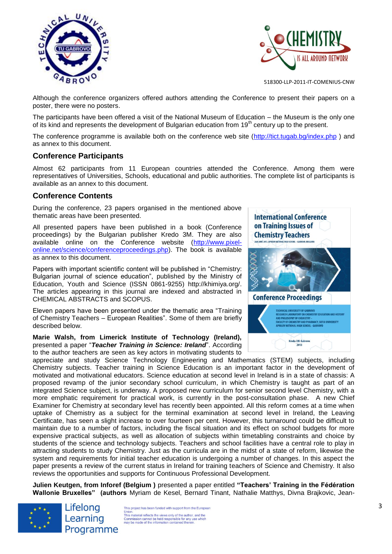



Although the conference organizers offered authors attending the Conference to present their papers on a poster, there were no posters.

The participants have been offered a visit of the National Museum of Education – the Museum is the only one of its kind and represents the development of Bulgarian education from 19<sup>th</sup> century up to the present.

The conference programme is available both on the conference web site [\(http://tict.tugab.bg/index.php](http://tict.tugab.bg/index.php) ) and as annex to this document.

## **Conference Participants**

Almost 62 participants from 11 European countries attended the Conference. Among them were representatives of Universities, Schools, educational and public authorities. The complete list of participants is available as an annex to this document.

## **Conference Contents**

During the conference, 23 papers organised in the mentioned above thematic areas have been presented.

All presented papers have been published in a book (Conference proceedings) by the Bulgarian publisher Kredo 3M. They are also available online on the Conference website [\(http://www.pixel](http://www.pixel-online.net/science/conferenceproceedings.php)[online.net/science/conferenceproceedings.php\)](http://www.pixel-online.net/science/conferenceproceedings.php). The book is available as annex to this document.

Papers with important scientific content will be published in "Chemistry: Bulgarian journal of science education", published by the Ministry of Education, Youth and Science (ISSN 0861-9255) [http://khimiya.org/.](http://khimiya.org/) The articles appearing in this journal are indexed and abstracted in CHEMICAL ABSTRACTS and SCOPUS.

Eleven papers have been presented under the thematic area "Training of Chemistry Teachers – European Realities". Some of them are briefly described below.

**Marie Walsh, from Limerick Institute of Technology (Ireland),** presented a paper "*Teacher Training in Science: Ireland*". According to the author teachers are seen as key actors in motivating students to



appreciate and study Science Technology Engineering and Mathematics (STEM) subjects, including Chemistry subjects. Teacher training in Science Education is an important factor in the development of motivated and motivational educators. Science education at second level in Ireland is in a state of chassis: A proposed revamp of the junior secondary school curriculum, in which Chemistry is taught as part of an integrated Science subject, is underway. A proposed new curriculum for senior second level Chemistry, with a more emphatic requirement for practical work, is currently in the post-consultation phase. A new Chief Examiner for Chemistry at secondary level has recently been appointed. All this reform comes at a time when uptake of Chemistry as a subject for the terminal examination at second level in Ireland, the Leaving Certificate, has seen a slight increase to over fourteen per cent. However, this turnaround could be difficult to maintain due to a number of factors, including the fiscal situation and its effect on school budgets for more expensive practical subjects, as well as allocation of subjects within timetabling constraints and choice by students of the science and technology subjects. Teachers and school facilities have a central role to play in attracting students to study Chemistry. Just as the curricula are in the midst of a state of reform, likewise the system and requirements for initial teacher education is undergoing a number of changes. In this aspect the paper presents a review of the current status in Ireland for training teachers of Science and Chemistry. It also reviews the opportunities and supports for Continuous Professional Development.

**Julien Keutgen, from Inforef (Belgium )** presented a paper entitled **"Teachers' Training in the Fédération Wallonie Bruxelles" (authors** Myriam de Kesel, Bernard Tinant, Nathalie Matthys, Divna Brajkovic, Jean-



Lifelong Learning Programme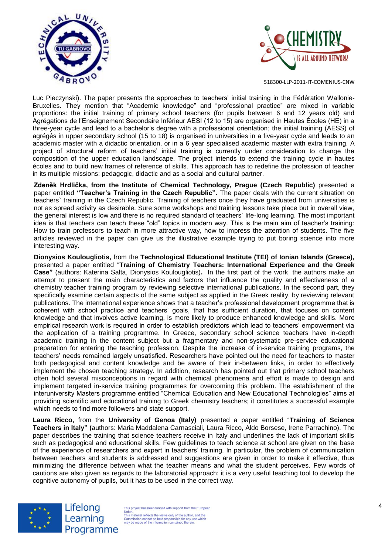



Luc Pieczynski). The paper presents the approaches to teachers' initial training in the Fédération Wallonie-Bruxelles. They mention that "Academic knowledge" and "professional practice" are mixed in variable proportions: the initial training of primary school teachers (for pupils between 6 and 12 years old) and Agrégations de l'Enseignement Secondaire Inférieur AESI (12 to 15) are organised in Hautes Écoles (HE) in a three-year cycle and lead to a bachelor's degree with a professional orientation; the initial training (AESS) of agrégés in upper secondary school (15 to 18) is organised in universities in a five-year cycle and leads to an academic master with a didactic orientation, or in a 6 year specialised academic master with extra training. A project of structural reform of teachers' initial training is currently under consideration to change the composition of the upper education landscape. The project intends to extend the training cycle in hautes écoles and to build new frames of reference of skills. This approach has to redefine the profession of teacher in its multiple missions: pedagogic, didactic and as a social and cultural partner.

**Zdeněk Hrdlička, from the Institute of Chemical Technology, Prague (Czech Republic)** presented a paper entitled **"Teacher's Training in the Czech Republic".** The paper deals with the current situation on teachers` training in the Czech Republic. Training of teachers once they have graduated from universities is not as spread activity as desirable. Sure some workshops and training lessons take place but in overall view, the general interest is low and there is no required standard of teachers` life-long learning. The most important idea is that teachers can teach these "old" topics in modern way. This is the main aim of teacher's training: How to train professors to teach in more attractive way, how to impress the attention of students. The five articles reviewed in the paper can give us the illustrative example trying to put boring science into more interesting way.

**Dionysios Koulougliotis,** from the **Technological Educational Institute (TEI) of Ionian Islands (Greece),** presented a paper entitled "**Training of Chemistry Teachers: International Experience and the Greek Case"** (authors: Katerina Salta, Dionysios Koulougliotis)**.** In the first part of the work, the authors make an attempt to present the main characteristics and factors that influence the quality and effectiveness of a chemistry teacher training program by reviewing selective international publications. In the second part, they specifically examine certain aspects of the same subject as applied in the Greek reality, by reviewing relevant publications. The international experience shows that a teacher's professional development programme that is coherent with school practice and teachers' goals, that has sufficient duration, that focuses on content knowledge and that involves active learning, is more likely to produce enhanced knowledge and skills. More empirical research work is required in order to establish predictors which lead to teachers' empowerment via the application of a training programme. In Greece, secondary school science teachers have in-depth academic training in the content subject but a fragmentary and non-systematic pre-service educational preparation for entering the teaching profession. Despite the increase of in-service training programs, the teachers' needs remained largely unsatisfied. Researchers have pointed out the need for teachers to master both pedagogical and content knowledge and be aware of their in-between links, in order to effectively implement the chosen teaching strategy. In addition, research has pointed out that primary school teachers often hold several misconceptions in regard with chemical phenomena and effort is made to design and implement targeted in-service training programmes for overcoming this problem. The establishment of the interuniversity Masters programme entitled "Chemical Education and New Educational Technologies" aims at providing scientific and educational training to Greek chemistry teachers; it constitutes a successful example which needs to find more followers and state support.

**Laura Ricco,** from the **University of Genoa (Italy)** presented a paper entitled "**Training of Science Teachers in Italy" (**authors: Maria Maddalena Carnasciali, Laura Ricco, Aldo Borsese, Irene Parrachino). The paper describes the training that science teachers receive in Italy and underlines the lack of important skills such as pedagogical and educational skills. Few guidelines to teach science at school are given on the base of the experience of researchers and expert in teachers' training. In particular, the problem of communication between teachers and students is addressed and suggestions are given in order to make it effective, thus minimizing the difference between what the teacher means and what the student perceives. Few words of cautions are also given as regards to the laboratorial approach: it is a very useful teaching tool to develop the cognitive autonomy of pupils, but it has to be used in the correct way.



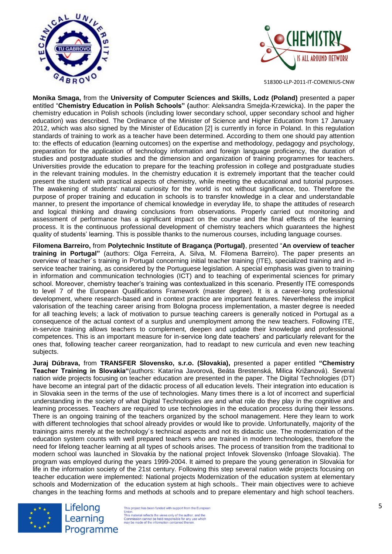



**Monika Smaga,** from the **University of Computer Sciences and Skills, Lodz (Poland)** presented a paper entitled "**Chemistry Education in Polish Schools" (**author: Aleksandra Smejda-Krzewicka). In the paper the chemistry education in Polish schools (including lower secondary school, upper secondary school and higher education) was described. The Ordinance of the Minister of Science and Higher Education from 17 January 2012, which was also signed by the Minister of Education [2] is currently in force in Poland. In this regulation standards of training to work as a teacher have been determined. According to them one should pay attention to: the effects of education (learning outcomes) on the expertise and methodology, pedagogy and psychology, preparation for the application of technology information and foreign language proficiency, the duration of studies and postgraduate studies and the dimension and organization of training programmes for teachers. Universities provide the education to prepare for the teaching profession in college and postgraduate studies in the relevant training modules. In the chemistry education it is extremely important that the teacher could present the student with practical aspects of chemistry, while meeting the educational and tutorial purposes. The awakening of students' natural curiosity for the world is not without significance, too. Therefore the purpose of proper training and education in schools is to transfer knowledge in a clear and understandable manner, to present the importance of chemical knowledge in everyday life, to shape the attitudes of research and logical thinking and drawing conclusions from observations. Properly carried out monitoring and assessment of performance has a significant impact on the course and the final effects of the learning process. It is the continuous professional development of chemistry teachers which guarantees the highest quality of students' learning. This is possible thanks to the numerous courses, including language courses.

**Filomena Barreiro,** from **Polytechnic Institute of Bragança (Portugal)**, presented "**An overview of teacher training in Portugal"** (authors: Olga Ferreira, A. Silva, M. Filomena Barreiro). The paper presents an overview of teacher´s training in Portugal concerning initial teacher training (ITE), specialized training and inservice teacher training, as considered by the Portuguese legislation. A special emphasis was given to training in information and communication technologies (ICT) and to teaching of experimental sciences for primary school. Moreover, chemistry teacher's training was contextualized in this scenario. Presently ITE corresponds to level 7 of the European Qualifications Framework (master degree). It is a career-long professional development, where research-based and in context practice are important features. Nevertheless the implicit valorisation of the teaching career arising from Bologna process implementation, a master degree is needed for all teaching levels; a lack of motivation to pursue teaching careers is generally noticed in Portugal as a consequence of the actual context of a surplus and unemployment among the new teachers. Following ITE, in-service training allows teachers to complement, deepen and update their knowledge and professional competences. This is an important measure for in-service long date teachers' and particularly relevant for the ones that, following teacher career reorganization, had to readapt to new curricula and even new teaching subjects.

**Juraj Dúbrava,** from **TRANSFER Slovensko, s.r.o. (Slovakia),** presented a paper entitled **"Chemistry Teacher Training in Slovakia"**(authors: Katarína Javorová, Beáta Brestenská, Milica Križanová). Several nation wide projects focusing on teacher education are presented in the paper. The Digital Technologies (DT) have become an integral part of the didactic process of all education levels. Their integration into education is in Slovakia seen in the terms of the use of technologies. Many times there is a lot of incorrect and superficial understanding in the society of what Digital Technologies are and what role do they play in the cognitive and learning processes. Teachers are required to use technologies in the education process during their lessons. There is an ongoing training of the teachers organized by the school management. Here they learn to work with different technologies that school already provides or would like to provide. Unfortunatelly, majority of the trainings aims merely at the technology´s technical aspects and not its didactic use. The modernization of the education system counts with well prepared teachers who are trained in modern technologies, therefore the need for lifelong teacher learning at all types of schools arises. The process of transition from the traditional to modern school was launched in Slovakia by the national project Infovek Slovensko (Infoage Slovakia). The program was employed during the years 1999-2004. It aimed to prepare the young generation in Slovakia for life in the information society of the 21st century. Following this step several nation wide projects focusing on teacher education were implemented: National projects Modernization of the education system at elementary schools and Modernization of the education system at high schools.. Their main objectives were to achieve changes in the teaching forms and methods at schools and to prepare elementary and high school teachers.



Lifelong Learning Programme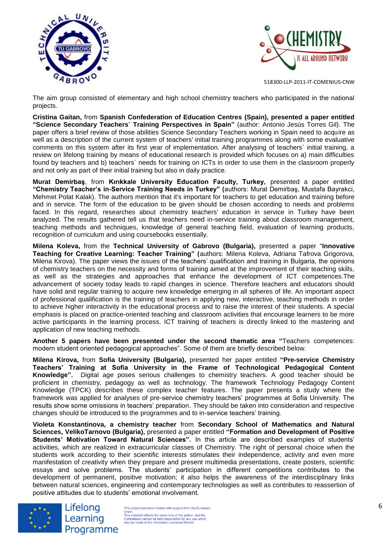



The aim group consisted of elementary and high school chemistry teachers who participated in the national projects.

**Cristina Gaitan,** from **Spanish Confederation of Education Centres (Spain), presented a paper entitled "Science Secondary Teachers´ Training Perspectives in Spain"** (author: Antonio Jesús Torres Gil). The paper offers a brief review of those abilities Science Secondary Teachers working in Spain need to acquire as well as a description of the current system of teachers' initial training programmes along with some evaluative comments on this system after its first year of implementation. After analysing of teachers´ initial training, a review on lifelong training by means of educational research is provided which focuses on a) main difficulties found by teachers and b) teachers´ needs for training on ICTs in order to use them in the classroom properly and not only as part of their initial training but also in daily practice.

**Murat Demirbaş**, from **Kırıkkale University Education Faculty, Turkey,** presented a paper entitled **"Chemistry Teacher's in-Service Training Needs in Turkey" (**authors: Murat Demirbaş, Mustafa Bayrakci, Mehmet Polat Kalak). The authors mention that it's important for teachers to get education and training before and in service. The form of the education to be given should be chosen according to needs and problems faced. In this regard, researches about chemistry teachers' education in service in Turkey have been analyzed. The results gathered tell us that teachers need in-service training about classroom management, teaching methods and techniques, knowledge of general teaching field, evaluation of learning products, recognition of curriculum and using coursebooks essentially.

**Milena Koleva,** from the **Technical University of Gabrovo (Bulgaria),** presented a paper "**Innovative Teaching for Creative Learning: Teacher Training" (**authors: Milena Koleva, Adriana Tafrova Grigorova, Milena Kirova). The paper views the issues of the teachers' qualification and training in Bulgaria, the opinions of chemistry teachers on the necessity and forms of training aimed at the improvement of their teaching skills, as well as the strategies and approaches that enhance the development of ICT competences.The advancement of society today leads to rapid changes in science. Therefore teachers and educators should have solid and regular training to acquire new knowledge emerging in all spheres of life. An important aspect of professional qualification is the training of teachers in applying new, interactive, teaching methods in order to achieve higher interactivity in the educational process and to raise the interest of their students. A special emphasis is placed on practice-oriented teaching and classroom activities that encourage learners to be more active participants in the learning process. ICT training of teachers is directly linked to the mastering and application of new teaching methods.

**Another 5 papers have been presented under the second thematic area "**Teachers competences: modern student oriented pedagogical approaches". Some of them are briefly described below.

**Milena Kirova,** from **Sofia University (Bulgaria),** presented her paper entitled **"Pre-service Chemistry Teachers' Training at Sofia University in the Frame of Technological Pedagogical Content Knowledge".** Digital age poses serious challenges to chemistry teachers. A good teacher should be proficient in chemistry, pedagogy as well as technology. The framework Technology Pedagogy Content Knowledge (TPCK) describes these complex teacher features. The paper presents a study where the framework was applied for analyses of pre-service chemistry teachers' programmes at Sofia University. The results show some omissions in teachers' preparation. They should be taken into consideration and respective changes should be introduced to the programmes and to in-service teachers' training.

**Violeta Konstantinova, a chemistry teacher** from **Secondary School of Mathematics and Natural Sciences, VelikoTarnovo (Bulgaria),** presented a paper entitled **"Formation and Development of Positive Students' Motivation Toward Natural Sciences".** In this article are described examples of students' activities, which are realized in extracurricular classes of Chemistry. The right of personal choice when the students work according to their scientific interests stimulates their independence, activity and even more manifestation of creativity when they prepare and present multimedia presentations, create posters, scientific essays and solve problems. The students' participation in different competitions contributes to the development of permanent, positive motivation; it also helps the awareness of the interdisciplinary links between natural sciences, engineering and contemporary technologies as well as contributes to reassertion of positive attitudes due to students' emotional involvement.



Lifelong Learning Programme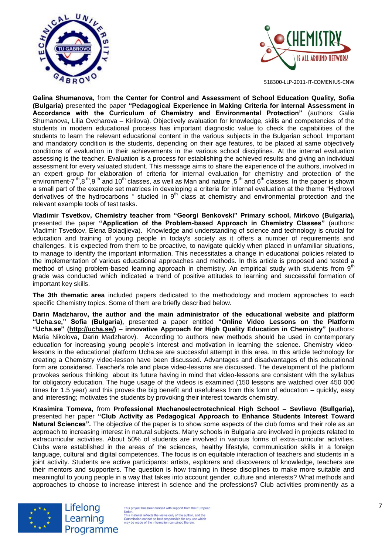



**Galina Shumanova,** from **the Center for Control and Assessment of School Education Quality, Sofia (Bulgaria)** presented the paper **"Pedagogical Experience in Making Criteria for internal Assessment in Accordance with the Curriculum of Chemistry and Environmental Protection"** (authors: Galia Shumanova, Lilia Ovcharova – Kirilova). Objectively evaluation for knowledge, skills and competencies of the students in modern educational process has important diagnostic value to check the capabilities of the students to learn the relevant educational content in the various subjects in the Bulgarian school. Important and mandatory condition is the students, depending on their age features, to be placed at same objectively conditions of evaluation in their achievements in the various school disciplines. At the internal evaluation assessing is the teacher. Evaluation is a process for establishing the achieved results and giving an individual assessment for every valuated student. This message aims to share the experience of the authors, involved in an expert group for elaboration of criteria for internal evaluation for chemistry and protection of the environment-7<sup>th</sup>,8<sup>th</sup>,9<sup>th</sup> and 10<sup>th</sup> classes, as well as Man and nature ,5<sup>th</sup> and 6<sup>th</sup> classes. In the paper is shown a small part of the example set matrices in developing a criteria for internal evaluation at the theme "Hydroxyl derivatives of the hydrocarbons " studied in  $9<sup>th</sup>$  class at chemistry and environmental protection and the relevant example tools of test tasks.

**Vladimir Tsvetkov, Chemistry teacher from "Georgi Benkovski" Primary school, Mirkovo (Bulgaria),**  presented the paper **"Application of the Problem-based Approach in Chemistry Classes"** (authors: Vladimir Tsvetkov, Elena Boiadjieva). Knowledge and understanding of science and technology is crucial for education and training of young people in today's society as it offers a number of requirements and challenges. It is expected from them to be proactive, to navigate quickly when placed in unfamiliar situations, to manage to identify the important information. This necessitates a change in educational policies related to the implementation of various educational approaches and methods. In this article is proposed and tested a method of using problem-based learning approach in chemistry. An empirical study with students from 9<sup>th</sup> grade was conducted which indicated a trend of positive attitudes to learning and successful formation of important key skills.

**The 3th thematic area** included papers dedicated to the methodology and modern approaches to each specific Chemistry topics. Some of them are briefly described below.

**Darin Madzharov, the author and the main administrator of the educational website and platform "Ucha.se," Sofia (Bulgaria),** presented a paper entitled **"Online Video Lessons on the Platform "Ucha.se" [\(http://ucha.se/\)](http://ucha.se/) – innovative Approach for High Quality Education in Chemistry" (**authors: Maria Nikolova, Darin Madzharov). According to authors new methods should be used in contemporary education for increasing young people's interest and motivation in learning the science. Chemistry videolessons in the educational platform Ucha.se are successful attempt in this area. In this article technology for creating a Chemistry video-lesson have been discussed. Advantages and disadvantages of this educational form are considered. Teacher's role and place video-lessons are discussed. The development of the platform provokes serious thinking about its future having in mind that video-lessons are consistent with the syllabus for obligatory education. The huge usage of the videos is examined (150 lessons are watched over 450 000 times for 1.5 year) and this proves the big benefit and usefulness from this form of education – quickly, easy and interesting; motivates the students by provoking their interest towards chemistry.

**Krasimira Tomeva,** from **Professional Mechanoelectrotechnical High School – Sevlievo (Bullgaria),**  presented her paper **"Club Activity as Pedagogical Approach to Enhance Students Interest Toward Natural Sciences".** The objective of the paper is to show some aspects of the club forms and their role as an approach to increasing interest in natural subjects. Many schools in Bulgaria are involved in projects related to extracurricular activities. About 50% of students are involved in various forms of extra-curricular activities. Clubs were established in the areas of the sciences, healthy lifestyle, communication skills in a foreign language, cultural and digital competences. The focus is on equitable interaction of teachers and students in a joint activity. Students are active participants: artists, explorers and discoverers of knowledge, teachers are their mentors and supporters. The question is how training in these disciplines to make more suitable and meaningful to young people in a way that takes into account gender, culture and interests? What methods and approaches to choose to increase interest in science and the professions? Club activities prominently as a



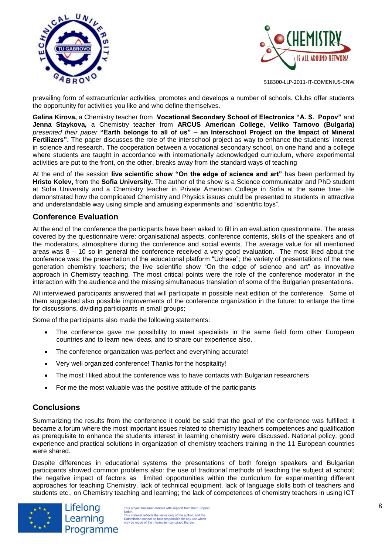



prevailing form of extracurricular activities, promotes and develops a number of schools. Clubs offer students the opportunity for activities you like and who define themselves.

**Galina Kirova,** a Chemistry teacher from **Vocational Secondary School of Electronics "A. S. Popov"** and **Jenna Staykova,** a Chemistry teacher from **ARCUS American College, Veliko Tarnovo (Bulgaria)** *presented their paper* **"Earth belongs to all of us" – an Interschool Project on the Impact of Mineral Fertilizers".** The paper discusses the role of the interschool project as way to enhance the students' interest in science and research. The cooperation between a vocational secondary school, on one hand and a college where students are taught in accordance with internationally acknowledged curriculum, where experimental activities are put to the front, on the other, breaks away from the standard ways of teaching

At the end of the session **live scientific show "On the edge of science and art"** has been performed by **Hristo Kolev,** from the **Sofia University.** The author of the show is a Science communicator and PhD student at Sofia University and a Chemistry teacher in Private American College in Sofia at the same time. He demonstrated how the complicated Chemistry and Physics issues could be presented to students in attractive and understandable way using simple and amusing experiments and "scientific toys".

### **Conference Evaluation**

At the end of the conference the participants have been asked to fill in an evaluation questionnaire. The areas covered by the questionnaire were: organisational aspects, conference contents, skills of the speakers and of the moderators, atmosphere during the conference and social events. The average value for all mentioned areas was 8 – 10 so in general the conference received a very good evaluation. The most liked about the conference was: the presentation of the educational platform "Uchase"; the variety of presentations of the new generation chemistry teachers; the live scientific show "On the edge of science and art" as innovative approach in Chemistry teaching. The most critical points were the role of the conference moderator in the interaction with the audience and the missing simultaneous translation of some of the Bulgarian presentations.

All interviewed participants answered that will participate in possible next edition of the conference. Some of them suggested also possible improvements of the conference organization in the future: to enlarge the time for discussions, dividing participants in small groups;

Some of the participants also made the following statements:

- The conference gave me possibility to meet specialists in the same field form other European countries and to learn new ideas, and to share our experience also.
- The conference organization was perfect and everything accurate!
- Very well organized conference! Thanks for the hospitality!
- The most I liked about the conference was to have contacts with Bulgarian researchers
- For me the most valuable was the positive attitude of the participants

#### **Conclusions**

Summarizing the results from the conference it could be said that the goal of the conference was fulfilled: it became a forum where the most important issues related to chemistry teachers competences and qualification as prerequisite to enhance the students interest in learning chemistry were discussed. National policy, good experience and practical solutions in organization of chemistry teachers training in the 11 European countries were shared.

Despite differences in educational systems the presentations of both foreign speakers and Bulgarian participants showed common problems also: the use of traditional methods of teaching the subject at school; the negative impact of factors as limited opportunities within the curriculum for experimenting different approaches for teaching Chemistry, lack of technical equipment, lack of language skills both of teachers and students etc., on Chemistry teaching and learning; the lack of competences of chemistry teachers in using ICT